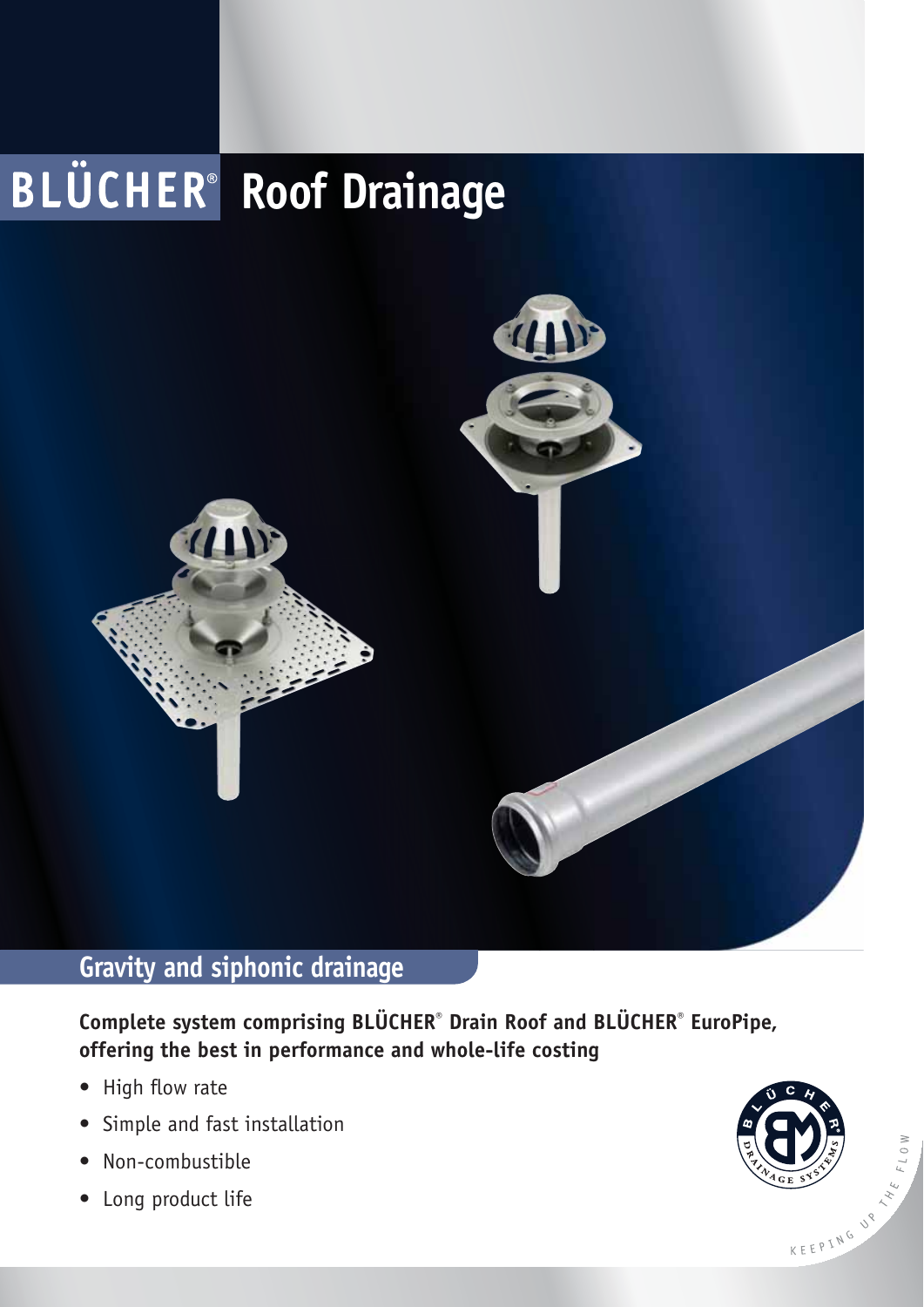

## **Gravity and siphonic drainage**

**Complete system comprising BLÜCHER® Drain Roof and BLÜCHER® EuroPipe, offering the best in performance and whole-life costing**

- High flow rate
- Simple and fast installation
- · Non-combustible
- Long product life